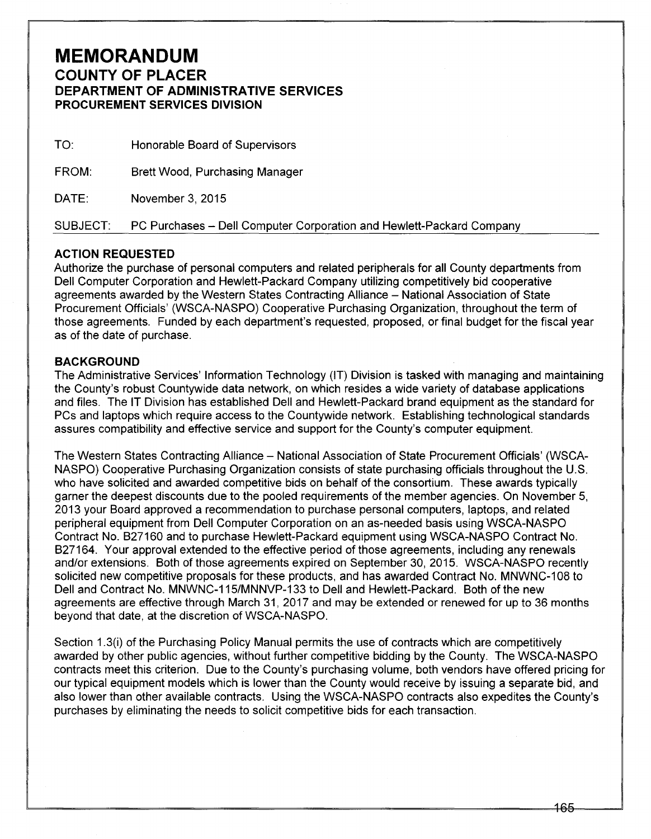## **MEMORANDUM COUNTY OF PLACER DEPARTMENT OF ADMINISTRATIVE SERVICES PROCUREMENT SERVICES DIVISION**

| TO:      | Honorable Board of Supervisors                                       |
|----------|----------------------------------------------------------------------|
| FROM:    | <b>Brett Wood, Purchasing Manager</b>                                |
| DATE:    | November 3, 2015                                                     |
| SUBJECT: | PC Purchases - Dell Computer Corporation and Hewlett-Packard Company |

## **ACTION REQUESTED**

Authorize the purchase of personal computers and related peripherals for all County departments from Dell Computer Corporation and Hewlett-Packard Company utilizing competitively bid cooperative agreements awarded by the Western States Contracting Alliance – National Association of State Procurement Officials' (WSCA-NASPO) Cooperative Purchasing Organization, throughout the term of those agreements. Funded by each department's requested, proposed, or final budget for the fiscal year as of the date of purchase.

## **BACKGROUND**

The Administrative Services' Information Technology (IT) Division is tasked with managing and maintaining the County's robust Countywide data network, on which resides a wide variety of database applications and files. The IT Division has established Dell and Hewlett-Packard brand equipment as the standard for PCs and laptops which require access to the Countywide network. Establishing technological standards assures compatibility and effective service and support for the County's computer equipment.

The Western States Contracting Alliance- National Association of State Procurement Officials' (WSCA-NASPO) Cooperative Purchasing Organization consists of state purchasing officials throughout the U.S. who have solicited and awarded competitive bids on behalf of the consortium. These awards typically garner the deepest discounts due to the pooled requirements of the member agencies. On November 5, 2013 your Board approved a recommendation to purchase personal computers, laptops, and related peripheral equipment from Dell Computer Corporation on an as-needed basis using WSCA-NASPO Contract No. B27160 and to purchase Hewlett-Packard equipment using WSCA-NASPO Contract No. B27164. Your approval extended to the effective period of those agreements, including any renewals and/or extensions. Both of those agreements expired on September 30, 2015. WSCA-NASPO recently solicited new competitive proposals for these products, and has awarded Contract No. MNWNC-108 to Dell and Contract No. MNWNC-115/MNNVP-133 to Dell and Hewlett-Packard. Both of the new agreements are effective through March 31, 2017 and may be extended or renewed for up to 36 months beyond that date, at the discretion of WSCA-NASPO.

Section 1.3(i) of the Purchasing Policy Manual permits the use of contracts which are competitively awarded by other public agencies, without further competitive bidding by the County. The WSCA-NASPO contracts meet this criterion. Due to the County's purchasing volume, both vendors have offered pricing for our typical equipment models which is lower than the County would receive by issuing a separate bid, and also lower than other available contracts. Using the WSCA-NASPO contracts also expedites the County's purchases by eliminating the needs to solicit competitive bids for each transaction.